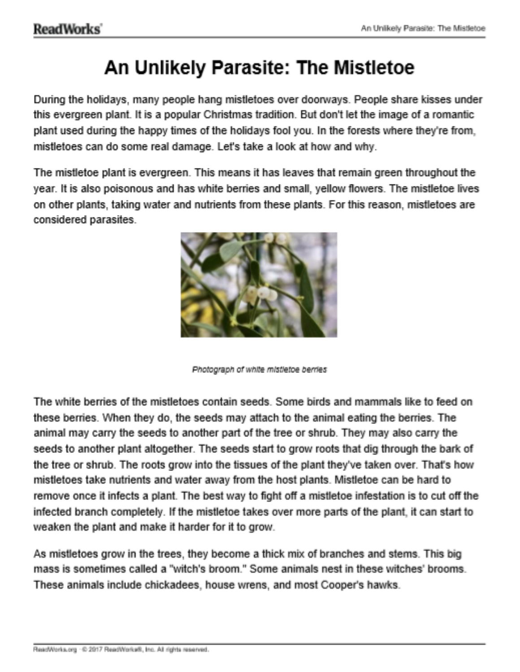### An Unlikely Parasite: The Mistletoe

During the holidays, many people hang mistletoes over doorways. People share kisses under this evergreen plant. It is a popular Christmas tradition. But don't let the image of a romantic plant used during the happy times of the holidays fool you. In the forests where they're from, mistletoes can do some real damage. Let's take a look at how and why.

The mistletoe plant is evergreen. This means it has leaves that remain green throughout the year. It is also poisonous and has white berries and small, yellow flowers. The mistletoe lives on other plants, taking water and nutrients from these plants. For this reason, mistletoes are considered parasites.



Photograph of white mistletoe berries

The white berries of the mistletoes contain seeds. Some birds and mammals like to feed on these berries. When they do, the seeds may attach to the animal eating the berries. The animal may carry the seeds to another part of the tree or shrub. They may also carry the seeds to another plant altogether. The seeds start to grow roots that dig through the bark of the tree or shrub. The roots grow into the tissues of the plant they've taken over. That's how mistletoes take nutrients and water away from the host plants. Mistletoe can be hard to remove once it infects a plant. The best way to fight off a mistletoe infestation is to cut off the infected branch completely. If the mistletoe takes over more parts of the plant, it can start to weaken the plant and make it harder for it to grow.

As mistletoes grow in the trees, they become a thick mix of branches and stems. This big mass is sometimes called a "witch's broom." Some animals nest in these witches' brooms. These animals include chickadees, house wrens, and most Cooper's hawks.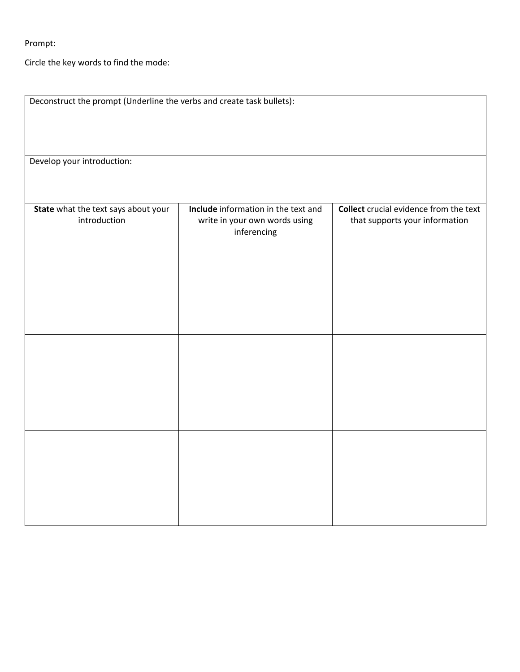Prompt:

Circle the key words to find the mode:

| Deconstruct the prompt (Underline the verbs and create task bullets): |                                                                                     |                                                                                 |  |
|-----------------------------------------------------------------------|-------------------------------------------------------------------------------------|---------------------------------------------------------------------------------|--|
| Develop your introduction:                                            |                                                                                     |                                                                                 |  |
|                                                                       |                                                                                     |                                                                                 |  |
| State what the text says about your<br>introduction                   | Include information in the text and<br>write in your own words using<br>inferencing | <b>Collect</b> crucial evidence from the text<br>that supports your information |  |
|                                                                       |                                                                                     |                                                                                 |  |
|                                                                       |                                                                                     |                                                                                 |  |
|                                                                       |                                                                                     |                                                                                 |  |
|                                                                       |                                                                                     |                                                                                 |  |
|                                                                       |                                                                                     |                                                                                 |  |
|                                                                       |                                                                                     |                                                                                 |  |
|                                                                       |                                                                                     |                                                                                 |  |
|                                                                       |                                                                                     |                                                                                 |  |
|                                                                       |                                                                                     |                                                                                 |  |
|                                                                       |                                                                                     |                                                                                 |  |
|                                                                       |                                                                                     |                                                                                 |  |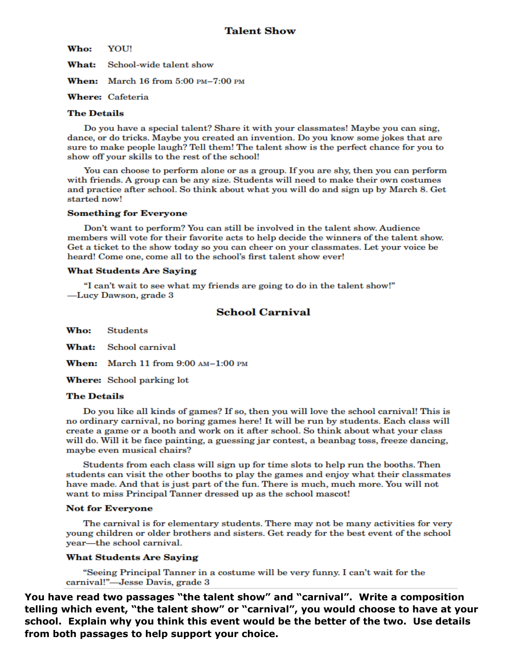Who: **YOU!** 

What: School-wide talent show

**When:** March 16 from 5:00 PM-7:00 PM

### **Where: Cafeteria**

### **The Details**

Do you have a special talent? Share it with your classmates! Maybe you can sing. dance, or do tricks. Maybe you created an invention. Do you know some jokes that are sure to make people laugh? Tell them! The talent show is the perfect chance for you to show off your skills to the rest of the school!

You can choose to perform alone or as a group. If you are shy, then you can perform with friends. A group can be any size. Students will need to make their own costumes and practice after school. So think about what you will do and sign up by March 8. Get started now!

### **Something for Everyone**

Don't want to perform? You can still be involved in the talent show. Audience members will vote for their favorite acts to help decide the winners of the talent show. Get a ticket to the show today so you can cheer on your classmates. Let your voice be heard! Come one, come all to the school's first talent show ever!

### **What Students Are Saying**

"I can't wait to see what my friends are going to do in the talent show!" -Lucy Dawson, grade 3

### **School Carnival**

Who: **Students** 

What: School carnival

When: March 11 from  $9:00$   $AM-1:00$  PM

**Where:** School parking lot

### **The Details**

Do you like all kinds of games? If so, then you will love the school carnival! This is no ordinary carnival, no boring games here! It will be run by students. Each class will create a game or a booth and work on it after school. So think about what your class will do. Will it be face painting, a guessing jar contest, a beanbag toss, freeze dancing, maybe even musical chairs?

Students from each class will sign up for time slots to help run the booths. Then students can visit the other booths to play the games and enjoy what their classmates have made. And that is just part of the fun. There is much, much more. You will not want to miss Principal Tanner dressed up as the school mascot!

### **Not for Everyone**

The carnival is for elementary students. There may not be many activities for very young children or older brothers and sisters. Get ready for the best event of the school year-the school carnival.

### **What Students Are Saying**

"Seeing Principal Tanner in a costume will be very funny. I can't wait for the carnival!"-Jesse Davis, grade 3

You have read two passages "the talent show" and "carnival". Write a composition telling which event, "the talent show" or "carnival", you would choose to have at your school. Explain why you think this event would be the better of the two. Use details from both passages to help support your choice.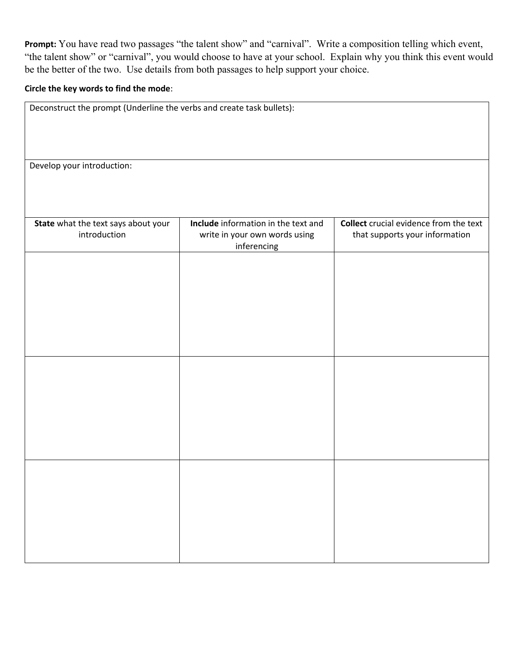**Prompt:** You have read two passages "the talent show" and "carnival". Write a composition telling which event, "the talent show" or "carnival", you would choose to have at your school. Explain why you think this event would be the better of the two. Use details from both passages to help support your choice.

### **Circle the key words to find the mode**:

| Deconstruct the prompt (Underline the verbs and create task bullets): |                                                                                     |                                                                                 |  |
|-----------------------------------------------------------------------|-------------------------------------------------------------------------------------|---------------------------------------------------------------------------------|--|
|                                                                       |                                                                                     |                                                                                 |  |
| Develop your introduction:                                            |                                                                                     |                                                                                 |  |
|                                                                       |                                                                                     |                                                                                 |  |
| State what the text says about your<br>introduction                   | Include information in the text and<br>write in your own words using<br>inferencing | <b>Collect</b> crucial evidence from the text<br>that supports your information |  |
|                                                                       |                                                                                     |                                                                                 |  |
|                                                                       |                                                                                     |                                                                                 |  |
|                                                                       |                                                                                     |                                                                                 |  |
|                                                                       |                                                                                     |                                                                                 |  |
|                                                                       |                                                                                     |                                                                                 |  |
|                                                                       |                                                                                     |                                                                                 |  |
|                                                                       |                                                                                     |                                                                                 |  |
|                                                                       |                                                                                     |                                                                                 |  |
|                                                                       |                                                                                     |                                                                                 |  |
|                                                                       |                                                                                     |                                                                                 |  |
|                                                                       |                                                                                     |                                                                                 |  |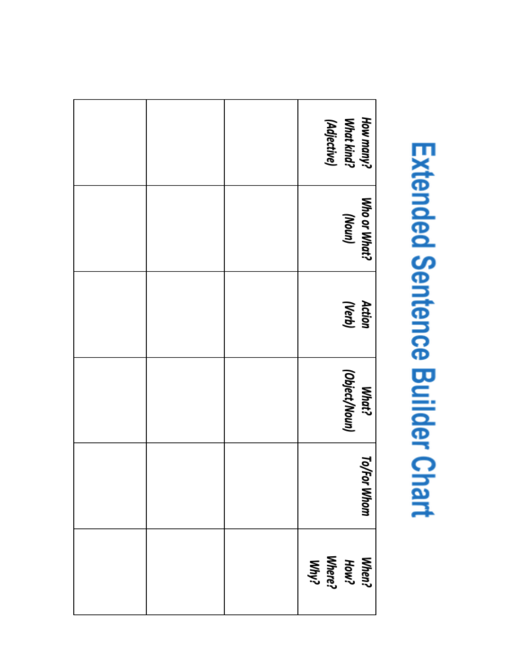# Extended Sentence Builder Chart

|  | How many?<br>What kind?<br>(Adjective) |
|--|----------------------------------------|
|  | Who or What?<br>(unow)                 |
|  | Action<br>(Verb)                       |
|  | (Object/Noun)<br>What?                 |
|  | <b>To/For Whom</b>                     |
|  | When?<br>How?<br>Why?<br>Why?          |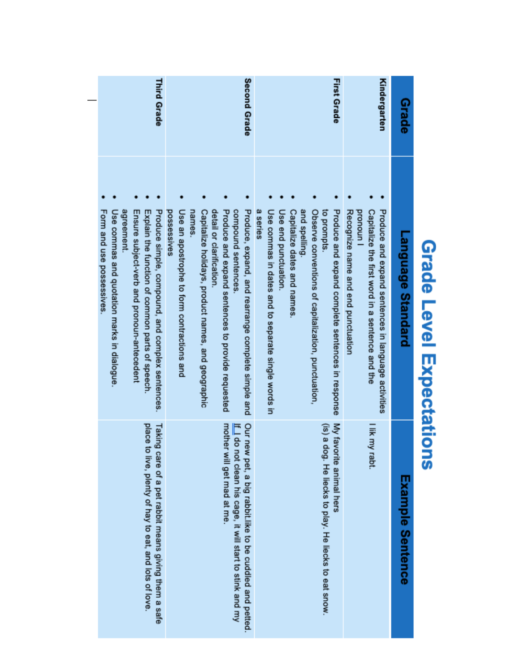### **Grade Level Expectations**

| Grade              | Language Standard                                                                                                                                            | Example Sentence                                                                                                      |
|--------------------|--------------------------------------------------------------------------------------------------------------------------------------------------------------|-----------------------------------------------------------------------------------------------------------------------|
| Kindergarten       | Recognize name and end punctuation<br>Capitalize the first word in a sentence and the<br>Produce and expand sentences in language activities<br>pronoun<br>P | I lik my rabt.                                                                                                        |
| <b>First Grade</b> | Observe conventions of capitalization, punctuation,<br>to prompts.<br>Produce and expand complete sentences in response                                      | My favorite animal hers<br>(is) a dog. He liecks to play. He liecks to eat snow.                                      |
|                    | Capitalize dates and names.<br>and spelling.                                                                                                                 |                                                                                                                       |
|                    | Use end punctuation.                                                                                                                                         |                                                                                                                       |
|                    | a series<br>Use commas in dates and to separate single words in                                                                                              |                                                                                                                       |
| Second Grade       | Produce, expand, and rearrange complete simple and                                                                                                           | Our new pet, a big rabbit.like to be cuddled and petted.<br>If I do not clean his cage, it will start to stink and my |
|                    | Produce and expand sentences to provide requested<br>compound sentences                                                                                      | mother will get mad at me                                                                                             |
|                    | Capitalize holidays, product names, and geographic<br>detail or clarification                                                                                |                                                                                                                       |
|                    | Use an apostrophe to form contractions and<br>names.<br>possessives                                                                                          |                                                                                                                       |
| <b>Third Grade</b> | Produce simple, compound, and complex sentences.                                                                                                             | Taking care of a pet rabbit means giving them a safe                                                                  |
|                    | Ensure subject-verb and pronoun-antecedent<br>Explain the function of common parts of speech.                                                                | place to<br>live, plenty of hay to eat, and lots of love.                                                             |
|                    | agreement<br>Use commas and quotation marks in dialogue.                                                                                                     |                                                                                                                       |
|                    | Form and use possessives                                                                                                                                     |                                                                                                                       |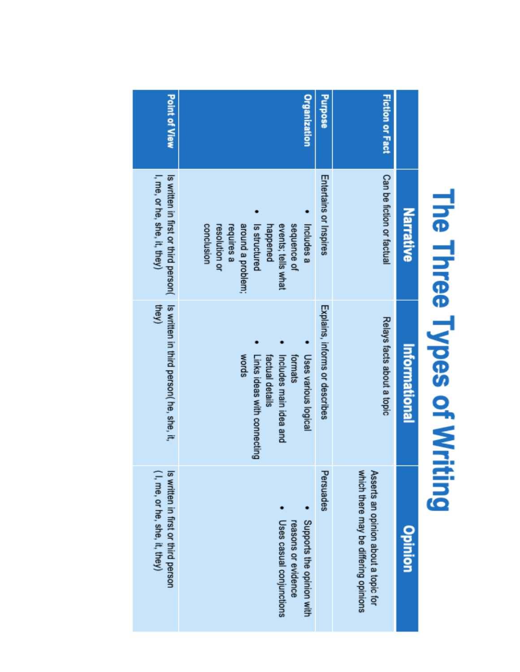## The Three Types of Writing

| <b>Point of View</b>                                                 | <b>Organization</b>                                                                                                                            | <b>Purpose</b>                 | <b>Fiction or Fact</b>                                                        |               |
|----------------------------------------------------------------------|------------------------------------------------------------------------------------------------------------------------------------------------|--------------------------------|-------------------------------------------------------------------------------|---------------|
| I, me, or he, she, it, they)<br>Is written in first or third person( | around a problem;<br>Includes a<br>conclusion<br>resolution or<br>requires a<br>happened<br>events; tells what<br>sequence of<br>Is structured | Entertains or Inspires         | Can be fiction or factual                                                     | Narrative     |
| Is written in third person( he, she, it,<br>they)                    | Uses various logical<br>words<br>factual details<br>formats<br>Links ideas with connecting<br>Includes main idea and                           | Explains, informs or describes | Relays facts about a topic                                                    | Informational |
| (I, me, or he, she, it, they)<br>Is written in first or third person | Supports the opinion with<br>Uses casual conjunctions<br>reasons or evidence                                                                   | Persuades                      | which there may be differing opinions<br>Asserts an opinion about a topic for | Opinion       |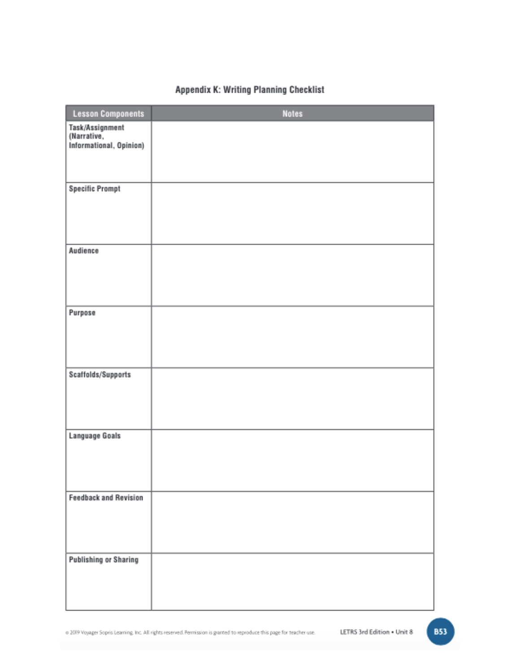### Appendix K: Writing Planning Checklist

| <b>Lesson Components</b>       | <b>Notes</b> |
|--------------------------------|--------------|
| Task/Assignment<br>(Narrative, |              |
| Informational, Opinion)        |              |
|                                |              |
| <b>Specific Prompt</b>         |              |
|                                |              |
|                                |              |
| Audience                       |              |
|                                |              |
|                                |              |
| Purpose                        |              |
|                                |              |
|                                |              |
| Scaffolds/Supports             |              |
|                                |              |
| <b>Language Goals</b>          |              |
|                                |              |
|                                |              |
| <b>Feedback and Revision</b>   |              |
|                                |              |
|                                |              |
| <b>Publishing or Sharing</b>   |              |
|                                |              |
|                                |              |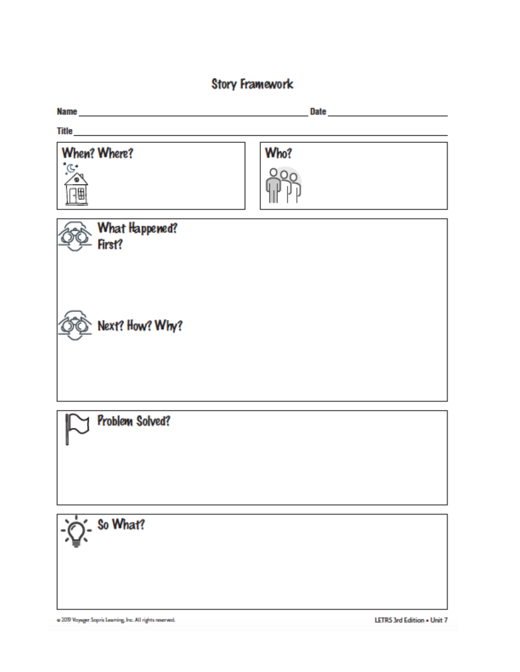### **Story Framework**

| Name and the state of the state of the state of the state of the state of the state of the state of the state of the state of the state of the state of the state of the state of the state of the state of the state of the s |                            |
|--------------------------------------------------------------------------------------------------------------------------------------------------------------------------------------------------------------------------------|----------------------------|
|                                                                                                                                                                                                                                |                            |
| When? Where?<br>*G.<br>⊕<br>调                                                                                                                                                                                                  | Who?                       |
| What Happened?<br>First?                                                                                                                                                                                                       |                            |
| Next? How? Why?                                                                                                                                                                                                                |                            |
| Problem Solved?                                                                                                                                                                                                                |                            |
| $Q -$ So What?                                                                                                                                                                                                                 |                            |
| @ 2019 Voyager Sopria Learning, Inc. All rights reserved.                                                                                                                                                                      | LETRS 3rd Edition . Unit 7 |